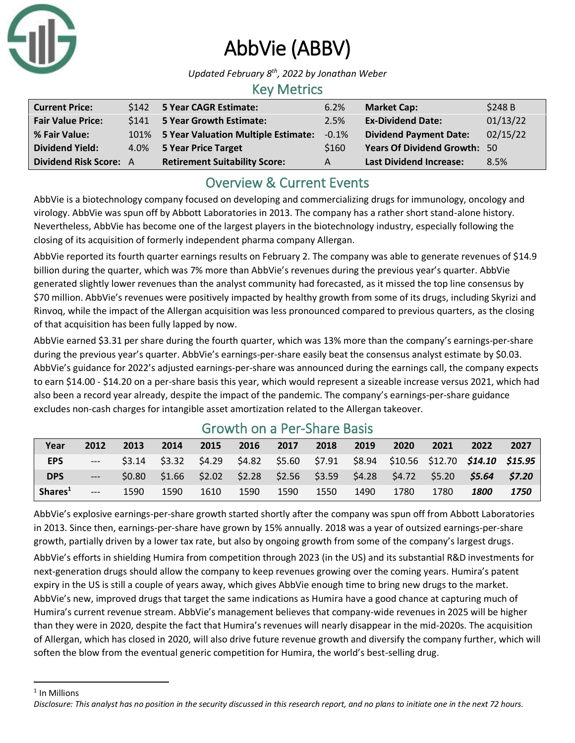

# AbbVie (ABBV)

*Updated February 8 th, 2022 by Jonathan Weber*

## Key Metrics

| <b>Current Price:</b>         | \$142 5 Year CAGR Estimate:              | 6.2%    | <b>Market Cap:</b>                  | \$248 B  |
|-------------------------------|------------------------------------------|---------|-------------------------------------|----------|
| <b>Fair Value Price:</b>      | \$141 5 Year Growth Estimate:            | 2.5%    | <b>Ex-Dividend Date:</b>            | 01/13/22 |
| % Fair Value:                 | 101% 5 Year Valuation Multiple Estimate: | $-0.1%$ | <b>Dividend Payment Date:</b>       | 02/15/22 |
| <b>Dividend Yield:</b>        | 4.0% 5 Year Price Target                 | \$160   | <b>Years Of Dividend Growth: 50</b> |          |
| <b>Dividend Risk Score: A</b> | <b>Retirement Suitability Score:</b>     | А       | <b>Last Dividend Increase:</b>      | 8.5%     |

# Overview & Current Events

AbbVie is a biotechnology company focused on developing and commercializing drugs for immunology, oncology and virology. AbbVie was spun off by Abbott Laboratories in 2013. The company has a rather short stand-alone history. Nevertheless, AbbVie has become one of the largest players in the biotechnology industry, especially following the closing of its acquisition of formerly independent pharma company Allergan.

AbbVie reported its fourth quarter earnings results on February 2. The company was able to generate revenues of \$14.9 billion during the quarter, which was 7% more than AbbVie's revenues during the previous year's quarter. AbbVie generated slightly lower revenues than the analyst community had forecasted, as it missed the top line consensus by \$70 million. AbbVie's revenues were positively impacted by healthy growth from some of its drugs, including Skyrizi and Rinvoq, while the impact of the Allergan acquisition was less pronounced compared to previous quarters, as the closing of that acquisition has been fully lapped by now.

AbbVie earned \$3.31 per share during the fourth quarter, which was 13% more than the company's earnings-per-share during the previous year's quarter. AbbVie's earnings-per-share easily beat the consensus analyst estimate by \$0.03. AbbVie's guidance for 2022's adjusted earnings-per-share was announced during the earnings call, the company expects to earn \$14.00 - \$14.20 on a per-share basis this year, which would represent a sizeable increase versus 2021, which had also been a record year already, despite the impact of the pandemic. The company's earnings-per-share guidance excludes non-cash charges for intangible asset amortization related to the Allergan takeover.

| Year                | 2012  | 2013          | 2014 | 2015 | 2016 | 2017 | 2018 | 2019 | 2020                                                                             | 2021 | 2022               | 2027   |
|---------------------|-------|---------------|------|------|------|------|------|------|----------------------------------------------------------------------------------|------|--------------------|--------|
| <b>EPS</b>          | $---$ | $\sim$ \$3.14 |      |      |      |      |      |      | \$3.32 \$4.29 \$4.82 \$5.60 \$7.91 \$8.94 \$10.56 \$12.70 <b>\$14.10 \$15.95</b> |      |                    |        |
| <b>DPS</b>          | $---$ | <b>SO.80</b>  |      |      |      |      |      |      | \$1.66 \$2.02 \$2.28 \$2.56 \$3.59 \$4.28 \$4.72 \$5.20 <b>\$5.64</b>            |      |                    | \$7.20 |
| Shares <sup>1</sup> | $---$ | 1590          | 1590 | 1610 | 1590 | 1590 | 1550 | 1490 | 1780                                                                             | 1780 | <i><b>1800</b></i> | 1750   |

# Growth on a Per-Share Basis

AbbVie's explosive earnings-per-share growth started shortly after the company was spun off from Abbott Laboratories in 2013. Since then, earnings-per-share have grown by 15% annually. 2018 was a year of outsized earnings-per-share growth, partially driven by a lower tax rate, but also by ongoing growth from some of the company's largest drugs.

AbbVie's efforts in shielding Humira from competition through 2023 (in the US) and its substantial R&D investments for next-generation drugs should allow the company to keep revenues growing over the coming years. Humira's patent expiry in the US is still a couple of years away, which gives AbbVie enough time to bring new drugs to the market. AbbVie's new, improved drugs that target the same indications as Humira have a good chance at capturing much of Humira's current revenue stream. AbbVie's management believes that company-wide revenues in 2025 will be higher than they were in 2020, despite the fact that Humira's revenues will nearly disappear in the mid-2020s. The acquisition of Allergan, which has closed in 2020, will also drive future revenue growth and diversify the company further, which will soften the blow from the eventual generic competition for Humira, the world's best-selling drug.

<sup>1</sup> In Millions

*Disclosure: This analyst has no position in the security discussed in this research report, and no plans to initiate one in the next 72 hours.*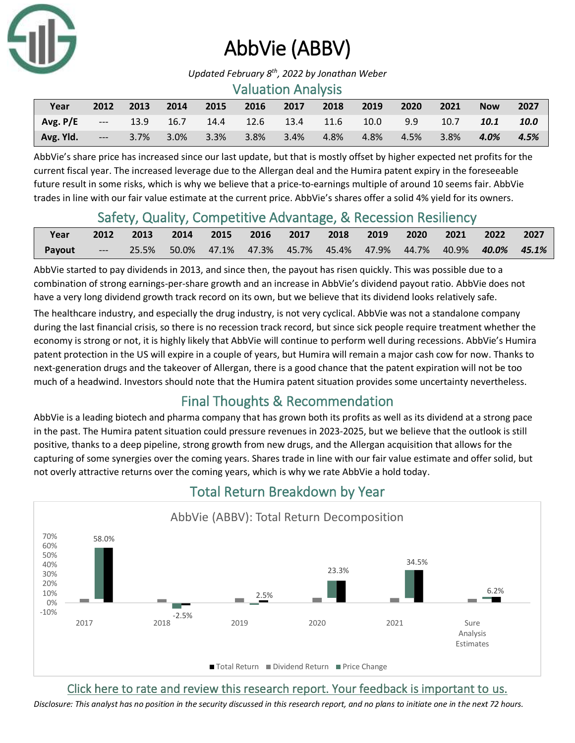

# AbbVie (ABBV)

*Updated February 8 th, 2022 by Jonathan Weber*

#### Valuation Analysis

| Year      | 2012                                                                                                                                                                                                                                 | 2013 | 2014    | 2015     | 2016           | 2017 | 2018 | 2019 | 2020     | 2021 | <b>Now</b> | 2027 |
|-----------|--------------------------------------------------------------------------------------------------------------------------------------------------------------------------------------------------------------------------------------|------|---------|----------|----------------|------|------|------|----------|------|------------|------|
| Avg. P/E  | <u>2000 - 1990 - 1990 - 1990 - 1990 - 1990 - 1990 - 1990 - 1990 - 1990 - 1990 - 1990 - 1990 - 1990 - 1990 - 1990 - 1990 - 1990 - 1990 - 1990 - 1990 - 1990 - 1990 - 1990 - 1990 - 1990 - 1990 - 1990 - 1990 - 1990 - 1990 - 1990</u> | 13.9 | 16.7    | 14.4     | 12.6 13.4 11.6 |      |      | 10.0 | 9.9      | 10.7 | 10.1       | 10.0 |
| Avg. Yld. | $---$                                                                                                                                                                                                                                | 3.7% | $3.0\%$ | $-3.3\%$ | $3.8\%$        | 3.4% | 4.8% | 4.8% | $-4.5\%$ | 3.8% | $4.0\%$    | 4.5% |

AbbVie's share price has increased since our last update, but that is mostly offset by higher expected net profits for the current fiscal year. The increased leverage due to the Allergan deal and the Humira patent expiry in the foreseeable future result in some risks, which is why we believe that a price-to-earnings multiple of around 10 seems fair. AbbVie trades in line with our fair value estimate at the current price. AbbVie's shares offer a solid 4% yield for its owners.

## Safety, Quality, Competitive Advantage, & Recession Resiliency

| Year   | 2012 2013 2014 2015 2016 2017 2018 2019 2020 2021 2022 2027                            |  |  |  |  |  |
|--------|----------------------------------------------------------------------------------------|--|--|--|--|--|
| Payout | ---  25.5%  50.0%  47.1%  47.3%  45.7%  45.4%  47.9%  44.7%  40.9% <b>40.0%  45.1%</b> |  |  |  |  |  |

AbbVie started to pay dividends in 2013, and since then, the payout has risen quickly. This was possible due to a combination of strong earnings-per-share growth and an increase in AbbVie's dividend payout ratio. AbbVie does not have a very long dividend growth track record on its own, but we believe that its dividend looks relatively safe.

The healthcare industry, and especially the drug industry, is not very cyclical. AbbVie was not a standalone company during the last financial crisis, so there is no recession track record, but since sick people require treatment whether the economy is strong or not, it is highly likely that AbbVie will continue to perform well during recessions. AbbVie's Humira patent protection in the US will expire in a couple of years, but Humira will remain a major cash cow for now. Thanks to next-generation drugs and the takeover of Allergan, there is a good chance that the patent expiration will not be too much of a headwind. Investors should note that the Humira patent situation provides some uncertainty nevertheless.

# Final Thoughts & Recommendation

AbbVie is a leading biotech and pharma company that has grown both its profits as well as its dividend at a strong pace in the past. The Humira patent situation could pressure revenues in 2023-2025, but we believe that the outlook is still positive, thanks to a deep pipeline, strong growth from new drugs, and the Allergan acquisition that allows for the capturing of some synergies over the coming years. Shares trade in line with our fair value estimate and offer solid, but not overly attractive returns over the coming years, which is why we rate AbbVie a hold today.



# Total Return Breakdown by Year

[Click here to rate and review this research report. Your feedback is important to us.](https://suredividend.typeform.com/to/ScKeFu)

*Disclosure: This analyst has no position in the security discussed in this research report, and no plans to initiate one in the next 72 hours.*